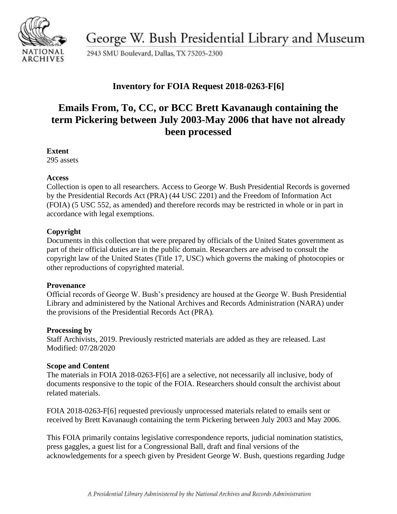

George W. Bush Presidential Library and Museum

2943 SMU Boulevard, Dallas, TX 75205-2300

# **Inventory for FOIA Request 2018-0263-F[6]**

# **Emails From, To, CC, or BCC Brett Kavanaugh containing the term Pickering between July 2003-May 2006 that have not already been processed**

### **Extent**

295 assets

### **Access**

Collection is open to all researchers. Access to George W. Bush Presidential Records is governed by the Presidential Records Act (PRA) (44 USC 2201) and the Freedom of Information Act (FOIA) (5 USC 552, as amended) and therefore records may be restricted in whole or in part in accordance with legal exemptions.

## **Copyright**

Documents in this collection that were prepared by officials of the United States government as part of their official duties are in the public domain. Researchers are advised to consult the copyright law of the United States (Title 17, USC) which governs the making of photocopies or other reproductions of copyrighted material.

### **Provenance**

 Official records of George W. Bush's presidency are housed at the George W. Bush Presidential Library and administered by the National Archives and Records Administration (NARA) under the provisions of the Presidential Records Act (PRA).

### **Processing by**

Staff Archivists, 2019. Previously restricted materials are added as they are released. Last Modified: 07/28/2020

### **Scope and Content**

The materials in FOIA 2018-0263-F[6] are a selective, not necessarily all inclusive, body of documents responsive to the topic of the FOIA. Researchers should consult the archivist about related materials.

FOIA 2018-0263-F[6] requested previously unprocessed materials related to emails sent or received by Brett Kavanaugh containing the term Pickering between July 2003 and May 2006.

 press gaggles, a guest list for a Congressional Ball, draft and final versions of the This FOIA primarily contains legislative correspondence reports, judicial nomination statistics, acknowledgements for a speech given by President George W. Bush, questions regarding Judge